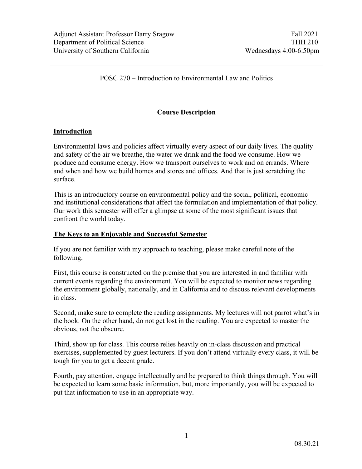POSC 270 – Introduction to Environmental Law and Politics

# **Course Description**

#### **Introduction**

Environmental laws and policies affect virtually every aspect of our daily lives. The quality and safety of the air we breathe, the water we drink and the food we consume. How we produce and consume energy. How we transport ourselves to work and on errands. Where and when and how we build homes and stores and offices. And that is just scratching the surface.

This is an introductory course on environmental policy and the social, political, economic and institutional considerations that affect the formulation and implementation of that policy. Our work this semester will offer a glimpse at some of the most significant issues that confront the world today.

#### **The Keys to an Enjoyable and Successful Semester**

If you are not familiar with my approach to teaching, please make careful note of the following.

First, this course is constructed on the premise that you are interested in and familiar with current events regarding the environment. You will be expected to monitor news regarding the environment globally, nationally, and in California and to discuss relevant developments in class.

Second, make sure to complete the reading assignments. My lectures will not parrot what's in the book. On the other hand, do not get lost in the reading. You are expected to master the obvious, not the obscure.

Third, show up for class. This course relies heavily on in-class discussion and practical exercises, supplemented by guest lecturers. If you don't attend virtually every class, it will be tough for you to get a decent grade.

Fourth, pay attention, engage intellectually and be prepared to think things through. You will be expected to learn some basic information, but, more importantly, you will be expected to put that information to use in an appropriate way.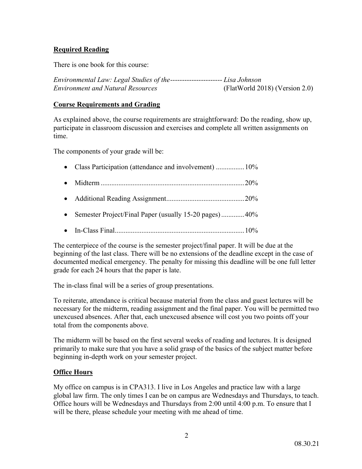# **Required Reading**

There is one book for this course:

*Environmental Law: Legal Studies of the---------------------- Lisa Johnson Environment and Natural Resources* (FlatWorld 2018) (Version 2.0)

#### **Course Requirements and Grading**

As explained above, the course requirements are straightforward: Do the reading, show up, participate in classroom discussion and exercises and complete all written assignments on time.

The components of your grade will be:

- Class Participation (attendance and involvement) ................. 10%
- Midterm .................................................................................20%
- Additional Reading Assignment............................................20%
- Semester Project/Final Paper (usually 15-20 pages)..............40%
- In-Class Final.........................................................................10%

The centerpiece of the course is the semester project/final paper. It will be due at the beginning of the last class. There will be no extensions of the deadline except in the case of documented medical emergency. The penalty for missing this deadline will be one full letter grade for each 24 hours that the paper is late.

The in-class final will be a series of group presentations.

To reiterate, attendance is critical because material from the class and guest lectures will be necessary for the midterm, reading assignment and the final paper. You will be permitted two unexcused absences. After that, each unexcused absence will cost you two points off your total from the components above.

The midterm will be based on the first several weeks of reading and lectures. It is designed primarily to make sure that you have a solid grasp of the basics of the subject matter before beginning in-depth work on your semester project.

## **Office Hours**

My office on campus is in CPA313. I live in Los Angeles and practice law with a large global law firm. The only times I can be on campus are Wednesdays and Thursdays, to teach. Office hours will be Wednesdays and Thursdays from 2:00 until 4:00 p.m. To ensure that I will be there, please schedule your meeting with me ahead of time.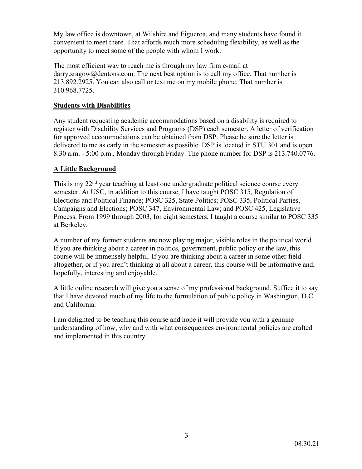My law office is downtown, at Wilshire and Figueroa, and many students have found it convenient to meet there. That affords much more scheduling flexibility, as well as the opportunity to meet some of the people with whom I work.

The most efficient way to reach me is through my law firm e-mail at darry.sragow@dentons.com. The next best option is to call my office. That number is 213.892.2925. You can also call or text me on my mobile phone. That number is 310.968.7725.

## **Students with Disabilities**

Any student requesting academic accommodations based on a disability is required to register with Disability Services and Programs (DSP) each semester. A letter of verification for approved accommodations can be obtained from DSP. Please be sure the letter is delivered to me as early in the semester as possible. DSP is located in STU 301 and is open 8:30 a.m. - 5:00 p.m., Monday through Friday. The phone number for DSP is 213.740.0776.

# **A Little Background**

This is my 22<sup>nd</sup> year teaching at least one undergraduate political science course every semester. At USC, in addition to this course, I have taught POSC 315, Regulation of Elections and Political Finance; POSC 325, State Politics; POSC 335, Political Parties, Campaigns and Elections; POSC 347, Environmental Law; and POSC 425, Legislative Process. From 1999 through 2003, for eight semesters, I taught a course similar to POSC 335 at Berkeley.

A number of my former students are now playing major, visible roles in the political world. If you are thinking about a career in politics, government, public policy or the law, this course will be immensely helpful. If you are thinking about a career in some other field altogether, or if you aren't thinking at all about a career, this course will be informative and, hopefully, interesting and enjoyable.

A little online research will give you a sense of my professional background. Suffice it to say that I have devoted much of my life to the formulation of public policy in Washington, D.C. and California.

I am delighted to be teaching this course and hope it will provide you with a genuine understanding of how, why and with what consequences environmental policies are crafted and implemented in this country.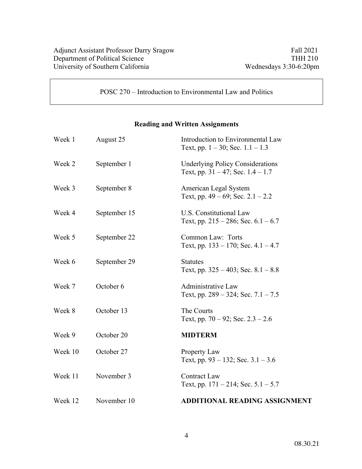POSC 270 – Introduction to Environmental Law and Politics

# **Reading and Written Assignments**

| Week 1  | August 25    | Introduction to Environmental Law<br>Text, pp. $1 - 30$ ; Sec. $1.1 - 1.3$        |
|---------|--------------|-----------------------------------------------------------------------------------|
| Week 2  | September 1  | <b>Underlying Policy Considerations</b><br>Text, pp. $31 - 47$ ; Sec. $1.4 - 1.7$ |
| Week 3  | September 8  | American Legal System<br>Text, pp. $49 - 69$ ; Sec. $2.1 - 2.2$                   |
| Week 4  | September 15 | U.S. Constitutional Law<br>Text, pp. $215 - 286$ ; Sec. $6.1 - 6.7$               |
| Week 5  | September 22 | Common Law: Torts<br>Text, pp. $133 - 170$ ; Sec. $4.1 - 4.7$                     |
| Week 6  | September 29 | <b>Statutes</b><br>Text, pp. $325 - 403$ ; Sec. $8.1 - 8.8$                       |
| Week 7  | October 6    | Administrative Law<br>Text, pp. $289 - 324$ ; Sec. $7.1 - 7.5$                    |
| Week 8  | October 13   | The Courts<br>Text, pp. $70 - 92$ ; Sec. $2.3 - 2.6$                              |
| Week 9  | October 20   | <b>MIDTERM</b>                                                                    |
| Week 10 | October 27   | Property Law<br>Text, pp. 93 – 132; Sec. $3.1 - 3.6$                              |
| Week 11 | November 3   | <b>Contract Law</b><br>Text, pp. $171 - 214$ ; Sec. $5.1 - 5.7$                   |
| Week 12 | November 10  | <b>ADDITIONAL READING ASSIGNMENT</b>                                              |